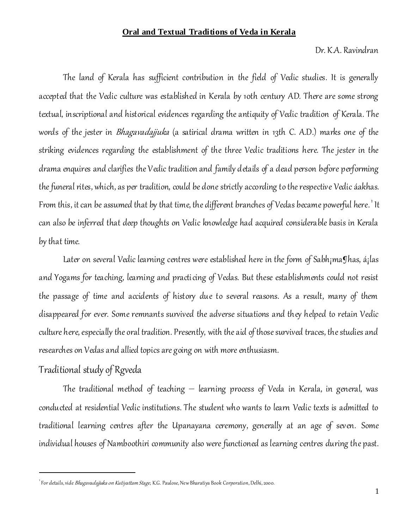#### **Oral and Textual Traditions of Veda in Kerala**

Dr. K.A. Ravindran

The land of Kerala has sufficient contribution in the field of Vedic studies. It is generally accepted that the Vedic culture was established in Kerala by 10th century AD. There are some strong textual, inscriptional and historical evidences regarding the antiquity of Vedic tradition of Kerala. The words of the jester in *Bhagavadajjuka* (a satirical drama written in 13th C. A.D.) marks one of the striking evidences regarding the establishment of the three Vedic traditions here. The jester in the drama enquires and clarifies the Vedic tradition and family details of a dead person before performing the funeral rites, which, as per tradition, could be done strictly according to the respective Vedic áakhas. From this, it can be assumed that by that time, the different branches of Vedas became powerful here.' It can also be inferred that deep thoughts on Vedic knowledge had acquired considerable basis in Kerala by that time.

Later on several Vedic learning centres were established here in the form of Sabh¡ma¶has, á¡las and Yogams for teaching, learning and practicing of Vedas. But these establishments could not resist the passage of time and accidents of history due to several reasons. As a result, many of them disappeared for ever. Some remnants survived the adverse situations and they helped to retain Vedic culture here, especially the oral tradition. Presently, with the aid of those survived traces, the studies and researches on Vedas and allied topics are going on with more enthusiasm.

# Traditional study of Rgveda

l

The traditional method of teaching – learning process of Veda in Kerala, in general, was conducted at residential Vedic institutions. The student who wants to learn Vedic texts is admitted to traditional learning centres after the Upanayana ceremony, generally at an age of seven. Some individual houses of Namboothiri community also were functioned as learning centres during the past.

<sup>&</sup>lt;sup>1</sup> For details, vide *Bhagavadajjuka on Kutiyattam Stage*, K.G. Paulose, New Bharatiya Book Corporation, Delhi, 2000.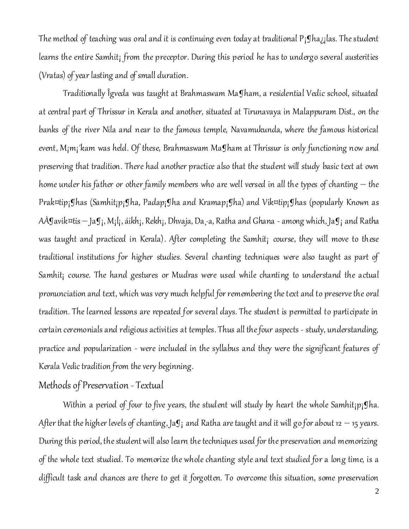The method of teaching was oral and it is continuing even today at traditional P<sub>i</sub>gha<sub>ii</sub>las. The student learns the entire Samhit; from the preceptor. During this period he has to undergo several austerities (Vratas) of year lasting and of small duration.

Traditionally Îgveda was taught at Brahmaswam Ma¶ham, a residential Vedic school, situated at central part of Thrissur in Kerala and another, situated at Tirunavaya in Malappuram Dist., on the banks of the river Nila and near to the famous temple, Navamukunda, where the famous historical event, M<sub>i</sub>m<sub>i</sub>'kam was held. Of these, Brahmaswam Ma¶ham at Thrissur is only functioning now and preserving that tradition. There had another practice also that the student will study basic text at own home under his father or other family members who are well versed in all the types of chanting – the Prak¤tip¡¶has (Samhit¡p¡¶ha, Padap¡¶ha and Kramap¡¶ha) and Vik¤tip¡¶has (popularly Known as AÀ $\Im$ avik¤tis — Ja $\Im$ <sub>i</sub>, M<sub>i</sub>l<sub>i</sub>, áikh<sub>i</sub>, Rekh<sub>i</sub>, Dhvaja, Da¸·a, Ratha and Ghana - among which, Ja $\Im$ <sub>i</sub> and Ratha was taught and practiced in Kerala). After completing the Samhit<sub>i</sub> course, they will move to these traditional institutions for higher studies. Several chanting techniques were also taught as part of Samhit<sub>i</sub> course. The hand gestures or Mudras were used while chanting to understand the actual pronunciation and text, which was very much helpful for remembering the text and to preserve theoral tradition. The learned lessons are repeated for several days. The student is permitted to participate in certain ceremonials and religious activities at temples. Thus all the four aspects - study, understanding, practice and popularization - were included in the syllabus and they were the significant features of Kerala Vedic tradition from the very beginning.

### Methods of Preservation - Textual

Within a period of four to five years, the student will study by heart the whole Samhit<sub>i</sub>p<sub>i</sub>gha. After that the higher levels of chanting, Ja $\sigma$ <sub>i</sub> and Ratha are taught and it will go for about 12  $-$  15 years. During this period, the student will also learn the techniques used for the preservation and memorizing of the whole text studied. To memorize the whole chanting style and text studied for a long time, is a difficult task and chances are there to get it forgotten. To overcome this situation, some preservation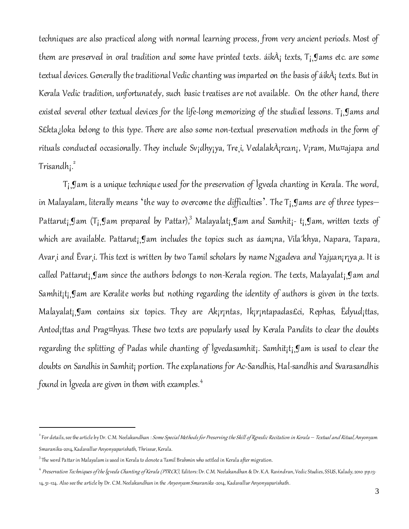techniques are also practiced along with normal learning process, from very ancient periods. Most of them are preserved in oral tradition and some have printed texts. áik $\tilde{A}$ <sub>i</sub> texts,  $T_i$ , Jams etc. are some textual devices. Generally the traditional Vedic chanting was imparted on the basis of áikÀ¡ texts. But in Kerala Vedic tradition, unfortunately, such basic treatises are not available. On the other hand, there existed several other textual devices for the life-long memorizing of the studied lessons. T¡¸¶ams and S£kta; loka belong to this type. There are also some non-textual preservation methods in the form of rituals conducted occasionally. They include Sv¡dhy¡ya, Tr¢¸i, VedalakÀ¡rcan¡, V¡ram, Mu¤ajapa and Trisandh<sub>I</sub>.<sup>2</sup>

T¡¸¶am is a unique technique used for the preservation of Îgveda chanting in Kerala. The word, in Malayalam, literally means 'the way to overcome the difficulties'. The T¡¸¶ams are of three types– Pattarut<sub>İ</sub>,¶am (T<sub>İ</sub>,¶am prepared by Pattar),<sup>3</sup> Malayalat<sub>İ</sub>,¶am and Samhit<sub>İ</sub>- t<sub>İ</sub>,¶am, written texts of which are available. Pattarut¡¸¶am includes the topics such as áam¡na, Vila´khya, Napara, Tapara, Avar¸i and Ëvar¸i. This text is written by two Tamil scholars by name N¡gadeva and Yajµan¡r¡ya¸a. It is called Pattarut¡¸¶am since the authors belongs to non-Kerala region. The texts, Malayalat¡¸¶am and Samhit<sub>i</sub>t<sub>i</sub>, Jam are Keralite works but nothing regarding the identity of authors is given in the texts. Malayalat¡¸¶am contains six topics. They are Ak¡r¡ntas, Ik¡r¡ntapadas£ci, Rephas, Ëdyud¡ttas, Antod¡ttas and Prag¤hyas. These two texts are popularly used by Kerala Pandits to clear the doubts regarding the splitting of Padas while chanting of Îgvedasamhit¡. Samhit¡t¡¸¶am is used to clear the doubts on Sandhis in Samhit<sub>i</sub> portion. The explanations for Ac-Sandhis, Hal-sandhis and Svarasandhis found in Îgveda are given in them with examples. $^{\textrm{\tiny{\textit{A}}}}$ 

<sup>2</sup> For details, see the article by Dr. C.M. Neelakandhan :Some Special Methods for Preserving the Skill of Rgvedic Recitation in Kerala *–* Textual and Ritual, Anyonyam Smaranika-2014, Kadavallur Anyonyaparishath, Thrissur, Kerala.

 $^3$ The word Pattar in Malayalam is used in Kerala to denote a Tamil Brahmin who settled in Kerala after migration.

<sup>&</sup>lt;sup>4</sup> Preservation Techniques of the Îgveda Chanting of Kerala (PTRCK), Editors: Dr. C.M. Neelakandhan & Dr. K.A. Ravindran, Vedic Studies, SSUS, Kalady, 2010 pp.13-14, 51-124. Also see the article by Dr. C.M. Neelakandhan in the Anyonyam Smaranika-2014, Kadavallur Anyonyaparishath.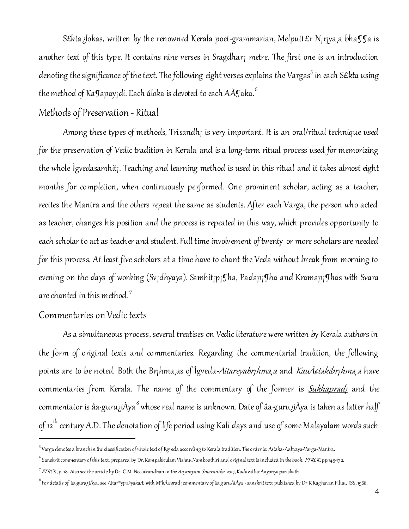S£kta ¿lokas, written by the renowned Kerala poet-grammarian, Melputt£r N<sub>i</sub>r<sub>i</sub>ya, a bha¶ga is another text of this type. It contains nine verses in Sragdhar¡ metre. The first one is an introduction denoting the significance of the text. The following eight verses explains the Vargas $^5$  in each S£kta using the method of Ka $g$ apay¡di. Each áloka is devoted to each AÀ $g$ aka. $^6$ 

# Methods of Preservation - Ritual

Among these types of methods, Trisandh<sub>i</sub> is very important. It is an oral/ritual technique used for the preservation of Vedic tradition in Kerala and is a long-term ritual process used for memorizing the whole Îgvedasamhit¡. Teaching and learning method is used in this ritual and it takes almost eight months for completion, when continuously performed. One prominent scholar, acting as a teacher, recites the Mantra and the others repeat the same as students. After each Varga, the person who acted as teacher, changes his position and the process is repeated in this way, which provides opportunity to each scholar to act as teacher and student. Full time involvement of twenty or more scholars are needed for this process. At least five scholars at a time have to chant the Veda without break from morning to evening on the days of working (Sv;dhyaya). Samhit;p; Iha, Padap; Iha and Kramap; Ihas with Svara are chanted in this method.<sup>7</sup>

### Commentaries on Vedic texts

l

As a simultaneous process, several treatises on Vedic literature were written by Kerala authors in the form of original texts and commentaries. Regarding the commentarial tradition, the following points are to be noted. Both the Br<sub>i</sub>hma as of Îgveda-*Aitareyabr<sub>i</sub>hma a* and *Kauˢtakibr<sub>i</sub>hma a* have commentaries from Kerala. The name of the commentary of the former is **Sukhaprad**; and the commentator is âa·guru¿iÀya $^8$  whose real name is unknown. Date of âa·guru¿iÀya is taken as latter half of 12<sup>th</sup> century A.D. The denotation of life period using Kali days and use of some Malayalam words such

<sup>&</sup>lt;sup>5</sup> Varga denotes a branch in the classification of whole text of Rgveda according to Kerala tradition. The order is: Astaka-Adhyaya-Varga-Mantra.

 $^6$  Sanskrit commentary of this text, prepared by Dr. Kompakkulam Vishnu Namboothiri and original text is included in the book: *PTRCK*. pp.145-172.

<sup>&</sup>lt;sup>7</sup> PTRCK, p. 18. Also see the article by Dr. C.M. Neelakandhan in the *Anyonyam Smaranika-2014,* Kadavallur Anyonya parishath.

<sup>&</sup>lt;sup>8</sup> For details of âa·guru¿iÀya, see Aitar®y¡raºyakaÆ with M°kÀaprad¡ commentary of âa·guruÀiÀya -sanskrit text published by Dr K Raghavan Pillai, TSS, 1968.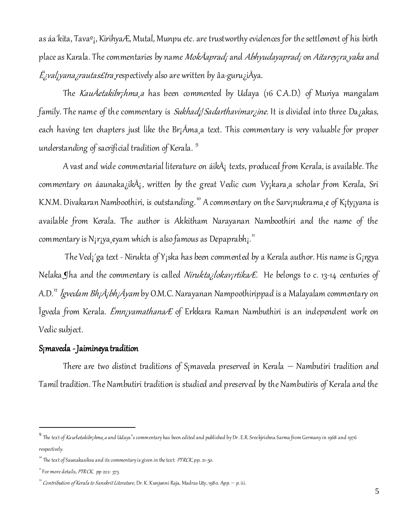as áa´kita, Tavaº¡, KirihyaÆ, Mutal, Munpu etc. are trustworthy evidences for the settlement of his birth place as Karala. The commentaries by name MokÀaprad; and Abhyudayaprad; on Aitarey; ra, yaka and  $E$ *įvalį yana įrautas£tra* respectively also are written by âa·guru į̃I dva.

The KauÀ¢takibr¡hma¸a has been commented by Udaya (16 C.A.D.) of Muriya mangalam family. The name of the commentary is Sukhad;/Sadarthavimar;ine. It is divided into three Da;akas, each having ten chapters just like the Br¡Åma¸a text. This commentary is very valuable for proper understanding of sacrificial tradition of Kerala.<sup>9</sup>

A vast and wide commentarial literature on áikÀ¡ texts, produced from Kerala, is available. The commentary on áaunaka¿ikÀ¡, written by the great Vedic cum Vy¡kara¸a scholar from Kerala, Sri K.N.M. Divakaran Namboothiri, is outstanding.<sup>10</sup> A commentary on the Sarv<sub>i</sub>nukrama,¢ of K<sub>i</sub>ty<sub>i</sub>yana is available from Kerala. The author is Akkitham Narayanan Namboothiri and the name of the commentary is N<sub>i</sub>r<sub>i</sub>ya, *eyam which is also famous as Depaprabh*<sub>i</sub>.<sup>11</sup>

The Ved¡´ga text - Nirukta of Y¡ska has been commented by a Kerala author. His name is G¡rgya N¢laka, Iha and the commentary is called Nirukta; lokav; rtika E. He belongs to c. 13-14 centuries of A.D.<sup>12</sup> Îgvedam Bh¡À¡bh¡Àyam by O.M.C. Narayanan Nampoothirippad is a Malayalam commentary on Îgveda from Kerala. *Ëmn<sub>i</sub>yamathana* E of Erkkara Raman Nambuthiri is an independent work on Vedic subject.

### S¡maveda - Jaimin¢yatradition

 There are two distinct traditions of S¡maveda preserved in Kerala – Nambutiri tradition and Tamil tradition. The Nambutiri tradition is studied and preserved by the Nambutiris of Kerala and the

<sup>&</sup>lt;sup>9</sup> The text of *Kauˢtakibr<sub>i</sub>hma*,a and Udaya's commentary has been edited and published by Dr. E.R. Sreekjrishna Sarma from Germany in 1968 and 1976 respectively.

 $^{10}$  The text of Saunakasiksa and its commentary is given in the text: *PTRCK*, pp. 21-50.

 $\overline{1}$  For more details, *PTRCK*, pp 222- 375

 $12^2$  Contribution of Kerala to Sanskrit Literature, Dr. K. Kunjunni Raja, Madras Uty, 1980. App. — p. iii.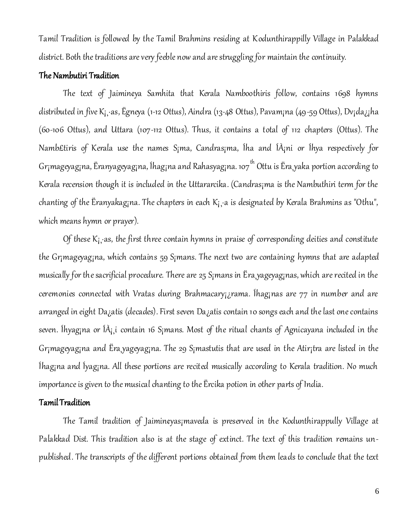Tamil Tradition is followed by the Tamil Brahmins residing at Kodunthirappilly Village in Palakkad district. Both the traditions are very feeble now and are struggling for maintain the continuity.

#### The Nambutiri Tradition

The text of Jaimin¢ya Samhita that Kerala Namboothiris follow, contains 1698 hymns distributed in five K¡¸·as, Ëgneya (1-12 Ottus), Aindra (13-48 Ottus), Pavam¡na (49-59 Ottus), Dv¡da¿¡ha (60-106 Ottus), and Uttara (107-112 Ottus). Thus, it contains a total of 112 chapters (Ottus). The Namb£tiris of Kerala use the names S¡ma, Candras¡ma, Íha and ÍÀ¡ni or Íhya respectively for Gr¡mageyag¡na, Ëranyageyag¡na, Íhag¡na and Rahasyag¡na. 107<sup>th</sup> Ottu is Ëra,yaka portion according to Kerala recension though it is included in the Uttararcika. (Candras¡ma is the Nambuthiri term for the chanting of the Ëranyakag<sub>i</sub>na. The chapters in each K<sub>i</sub>, a is designated by Kerala Brahmins as "Othu", which means hymn or prayer).

Of these  $K_i$  as, the first three contain hymns in praise of corresponding deities and constitute the Gr¡mageyag¡na, which contains 59 S¡mans. The next two are containing hymns that are adapted musically for the sacrificial procedure. There are 25 S¡mans in Ëra¸yageyag¡nas, which are recited in the ceremonies connected with Vratas during Brahmacary<sub>i d</sub>rama. Ihag<sub>i</sub>nas are 77 in number and are arranged in eight Da¿atis (decades). First seven Da¿atis contain 10 songs each and the last one contains seven. Íhyag<sub>i</sub>na or Í $\hat{A}$ <sub>is</sub>i contain 16 S<sub>i</sub>mans. Most of the ritual chants of Agnicayana included in the Gr¡mageyag¡na and Ëra¸yageyag¡na. The 29 S¡mastutis that are used in the Atir¡tra are listed in the Íhag¡na and Íyag¡na. All these portions are recited musically according to Kerala tradition. No much importance is given to the musical chanting to the Ërcika potion in other parts of India.

### Tamil Tradition

The Tamil tradition of Jaimin¢yas¡maveda is preserved in the Kodunthirappully Village at Palakkad Dist. This tradition also is at the stage of extinct. The text of this tradition remains unpublished. The transcripts of the different portions obtained from them leads to conclude that the text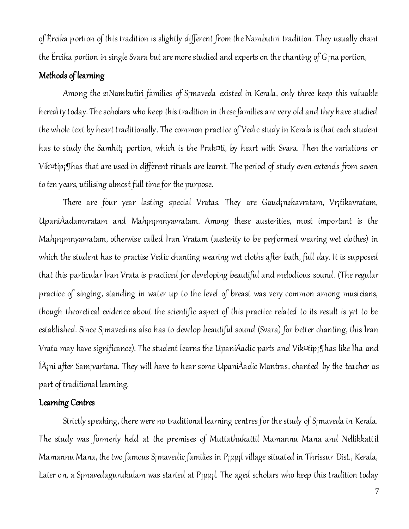of Ërcika portion of this tradition is slightly different from the Nambutiri tradition. They usually chant the Ërcika portion in single Svara but are more studied and experts on the chanting of G¡na portion,

### Methods of learning

Among the 21Nambutiri families of S¡maveda existed in Kerala, only three keep this valuable heredity today. The scholars who keep this tradition in these families are very old and they have studied the whole text by heart traditionally. The common practice of Vedic study in Kerala is that each student has to study the Samhit; portion, which is the Prak¤ti, by heart with Svara. Then the variations or Vik¤tip¡¶has that are used in different rituals are learnt. The period of study even extends from seven to ten years, utilising almost full time for the purpose.

There are four year lasting special Vratas. They are Gaud¡n¢kavratam, Vr¡tikavratam, UpaniÀadamvratam and Mah¡n¡mnyavratam. Among these austerities, most important is the Mah¡n¡mnyavratam, otherwise called Ìran Vratam (austerity to be performed wearing wet clothes) in which the student has to practise Vedic chanting wearing wet cloths after bath, full day. It is supposed that this particular Ìran Vrata is practiced for developing beautiful and melodious sound. (The regular practice of singing, standing in water up to the level of breast was very common among musicians, though theoretical evidence about the scientific aspect of this practice related to its result is yet to be established. Since S¡mavedins also has to develop beautiful sound (Svara) for better chanting, this Ìran Vrata may have significance). The student learns the UpaniÀadic parts and Vik¤tip¡¶has like Íha and ÍÀ¡ni after Sam¡vartana. They will have to hear some UpaniÀadic Mantras, chanted by the teacher as part of traditional learning.

#### Learning Centres

Strictly speaking, there were no traditional learning centres for the study of S¡maveda in Kerala. The study was formerly held at the premises of Muttathukattil Mamannu Mana and Nellikkattil Mamannu Mana, the two famous S<sub>i</sub>mavedic families in P<sub>i</sub>µµ; lvillage situated in Thrissur Dist., Kerala, Later on, a S<sub>i</sub>mavedagurukulam was started at  $P_i\mu\mu_i$ l. The aged scholars who keep this tradition today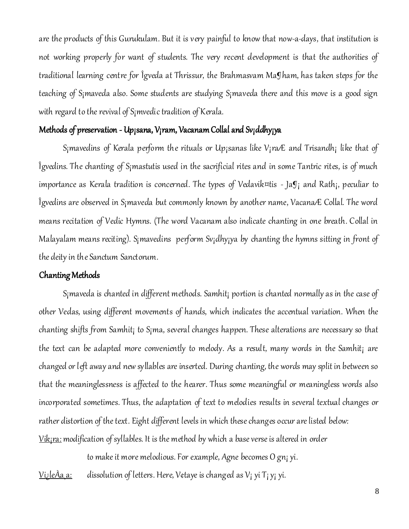are the products of this Gurukulam. But it is very painful to know that now-a-days, that institution is not working properly for want of students. The very recent development is that the authorities of traditional learning centre for Îgveda at Thrissur, the Brahmasvam Ma¶ham, has taken steps for the teaching of S¡maveda also. Some students are studying S¡maveda there and this move is a good sign with regard to the revival of S¡mvedic tradition of Kerala.

### Methods of preservation - Up<sub>j</sub>sana, V<sub>i</sub>ram, Vacanam Collal and Sv<sub>i</sub>ddhy<sub>i</sub>ya

S<sub>i</sub>mavedins of Kerala perform the rituals or Up<sub>i</sub>sanas like V<sub>i</sub>ra E and Trisandh; like that of Îgvedins. The chanting of S¡mastutis used in the sacrificial rites and in some Tantric rites, is of much importance as Kerala tradition is concerned. The types of Vedavik¤tis -  $a_{ji}$  and Rath;, peculiar to Îgvedins are observed in S¡maveda but commonly known by another name, VacanaÆ Collal. The word means recitation of Vedic Hymns. (The word Vacanam also indicate chanting in one breath. Collal in Malayalam means reciting). S<sub>i</sub>mavedins perform Sv<sub>i</sub>dhy<sub>i</sub>ya by chanting the hymns sitting in front of the deity in the Sanctum Sanctorum.

#### Chanting Methods

S¡maveda is chanted in different methods. Samhit¡ portion is chanted normally as in the case of other Vedas, using different movements of hands, which indicates the accentual variation. When the chanting shifts from Samhit¡ to S¡ma, several changes happen. These alterations are necessary so that the text can be adapted more conveniently to melody. As a result, many words in the Samhit; are changed or left away and new syllables are inserted. During chanting, the words may split in between so that the meaninglessness is affected to the hearer. Thus some meaningful or meaningless words also incorporated sometimes. Thus, the adaptation of text to melodies results in several textual changes or rather distortion of the text. Eight different levels in which these changes occur are listed below: Vik<sub>i</sub>ra: modification of syllables. It is the method by which a base verse is altered in order

to make it more melodious. For example, Agne becomes O gn¡ yi.

<u>Vi¿leÀa¸a:</u> dissolution of letters. Here, V¢taye is changed as V<sub>I</sub> yi T<sub>I</sub> y<sub>i</sub> yi.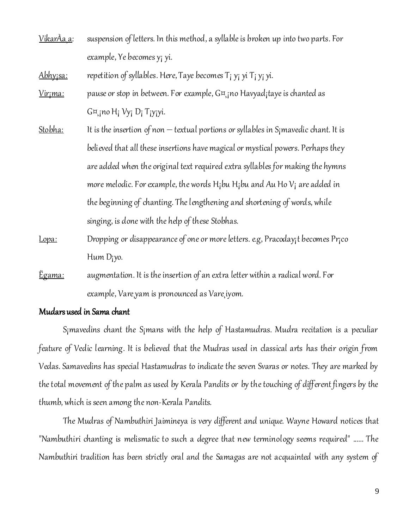Vikar $\lambda$ a<sub>,</sub> a: suspension of letters. In this method, a syllable is broken up into two parts. For example, Ye becomes y¡ yi.

<u>Abhy;sa:</u> repetition of syllables. Here, Taye becomes T<sub>i</sub> y<sub>i</sub> yi T<sub>i</sub> y<sub>i</sub> yi.

- <u>Vir $\gamma$ ma:</u> pause or stop in between. For example, G¤, no Havyad<sub>i</sub>taye is chanted as G¤¸¡no H¡ Vy¡ D¡ T¡y¡yi.
- Stobha: It is the insertion of non textual portions or syllables in S<sub>i</sub>mavedic chant. It is believed that all these insertions have magical or mystical powers. Perhaps they are added when the original text required extra syllables for making the hymns more melodic. For example, the words  $H<sub>i</sub>$ bu  $H<sub>i</sub>$ bu and Au Ho  $V<sub>i</sub>$  are added in the beginning of chanting. The lengthening and shortening of words, while singing, is done with the help of these Stobhas.
- Lopa: Dropping or disappearance of one or more letters. e.g, Pracoday; t becomes Pr; co Hum D¡yo.
- <u>Ëgama:</u> augmentation. It is the insertion of an extra letter within a radical word. For example, Vare¸yam is pronounced as Vare¸iyom.

#### Mudars used in Sama chant

S¡mavedins chant the S¡mans with the help of Hastamudras. Mudra recitation is a peculiar feature of Vedic learning. It is believed that the Mudras used in classical arts has their origin from Vedas. Samavedins has special Hastamudras to indicate the seven Svaras or notes. They are marked by the total movement of the palm as used by Kerala Pandits or by the touching of different fingers by the thumb, which is seen among the non-Kerala Pandits.

The Mudras of Nambuthiri Jaimin¢ya is very different and unique. Wayne Howard notices that "Nambuthiri chanting is melismatic to such a degree that new terminology seems required" ...... The Nambuthiri tradition has been strictly oral and the Samagas are not acquainted with any system of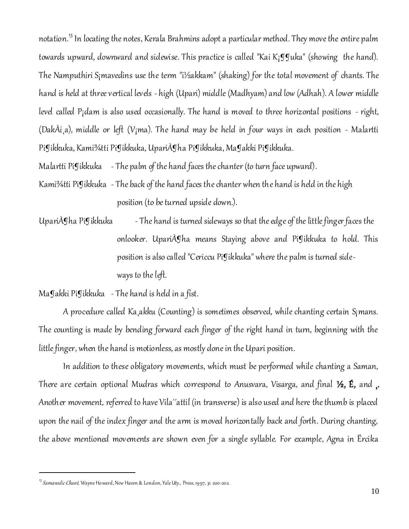notation.<sup>13</sup> In locating the notes, Kerala Brahmins adopt a particular method. They move the entire palm towards upward, downward and sidewise. This practice is called "Kai K;  $\mathfrak{g}$  Juka" (showing the hand). The Namputhiri S¡mavedins use the term "i½akkam" (shaking) for the total movement of chants. The hand is held at three vertical levels - high (Upari) middle (Madhyam) and low (Adhah). A lower middle level called P¡dam is also used occasionally. The hand is moved to three horizontal positions - right, (DakÀi,a), middle or left (V<sub>i</sub>ma). The hand may be held in four ways in each position - Malartti Pi¶ikkuka, Kami¾tti Pi¶ikkuka, UpariÀ¶ha Pi¶ikkuka, Ma¶akki Pi¶ikkuka.

Malartti Pigikkuka - The palm of the hand faces the chanter (to turn face upward).

- Kami¾tti Pi¶ikkuka The back of the hand faces the chanter when the hand is held in the high position (to be turned upside down.).
- Upari˦ha Pi¶ikkuka The hand is turned sideways so that the edge of the little finger faces the onlooker. UpariÀ¶ha means Staying above and Pi¶ikkuka to hold. This position is also called "Cericcu Pi¶ikkuka" where the palm is turned sideways to the left.

Ma¶akki Pi¶ikkuka - The hand is held in a fist.

 A procedure called Ka¸akku (Counting) is sometimes observed, while chanting certain S¡mans. The counting is made by bending forward each finger of the right hand in turn, beginning with the little finger, when the hand is motionless, as mostly done in the Upari position.

In addition to these obligatory movements, which must be performed while chanting a Saman, There are certain optional Mudras which correspond to Anusvara, Visarga, and final 1/2, E, and ,. Another movement, referred to have Vila´´attil (in transverse) is also used and here the thumb is placed upon the nail of the index finger and the arm is moved horizontally back and forth. During chanting, the above mentioned movements are shown even for a single syllable. For example, Agna in Ërcika

 $^{13}$  *Samavedic Chant*, Wayne Howard, New Haven & London, Yale Uty,. Press, 1997, p. 200-202.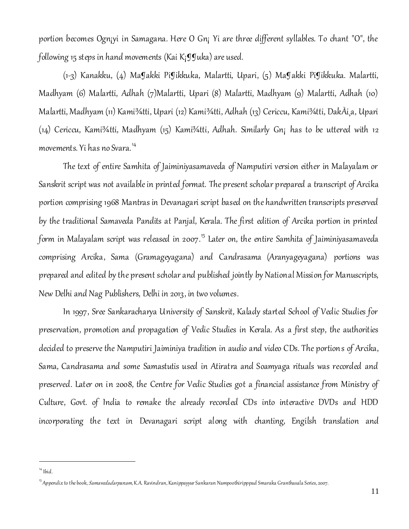portion becomes Ogn¡yi in Samagana. Here O Gn¡ Yi are three different syllables. To chant "O", the following 15 steps in hand movements (Kai K; $\mathfrak{g}$ Juka) are used.

(1-3) Kanakku, (4) Ma¶akki Pi¶ikkuka, Malartti, Upari, (5) Ma¶akki Pi¶ikkuka. Malartti, Madhyam (6) Malartti, Adhah (7)Malartti, Upari (8) Malartti, Madhyam (9) Malartti, Adhah (10) Malartti, Madhyam (11) Kami¾tti, Upari (12) Kami¾tti, Adhah (13) Cericcu, Kami¾tti, DakÀi¸a, Upari (14) Cericcu, Kami¾tti, Madhyam (15) Kami¾tti, Adhah. Similarly Gn¡ has to be uttered with 12 movements. Yi has no Svara.<sup>14</sup>

The text of entire Samhita of Jaiminiyasamaveda of Namputiri version either in Malayalam or Sanskrit script was not available in printed format. The present scholar prepared a transcript of Arcika portion comprising 1968 Mantras in Devanagari script based on the handwritten transcripts preserved by the traditional Samaveda Pandits at Panjal, Kerala. The first edition of Arcika portion in printed form in Malayalam script was released in 2007.<sup>15</sup> Later on, the entire Samhita of Jaiminiyasamaveda comprising Arcika, Sama (Gramageyagana) and Candrasama (Aranyageyagana) portions was prepared and edited by the present scholar and published jointly by National Mission for Manuscripts, New Delhi and Nag Publishers, Delhi in 2013, in two volumes.

In 1997, Sree Sankaracharya University of Sanskrit, Kalady started School of Vedic Studies for preservation, promotion and propagation of Vedic Studies in Kerala. As a first step, the authorities decided to preserve the Namputiri Jaiminiya tradition in audio and video CDs. The portion s of Arcika, Sama, Candrasama and some Samastutis used in Atiratra and Soamyaga rituals was recorded and preserved. Later on in 2008, the Centre for Vedic Studies got a financial assistance from Ministry of Culture, Govt. of India to remake the already recorded CDs into interactive DVDs and HDD incorporating the text in Devanagari script along with chanting, Engilsh translation and

 $14$  Ibid.

<sup>&</sup>lt;sup>15</sup> Appendix to the book, *Samavedadarpanam*, K.A. Ravindran, Kanippayyur Sankaran Nampoothiripppad Smaraka Granthasala Series, 2007.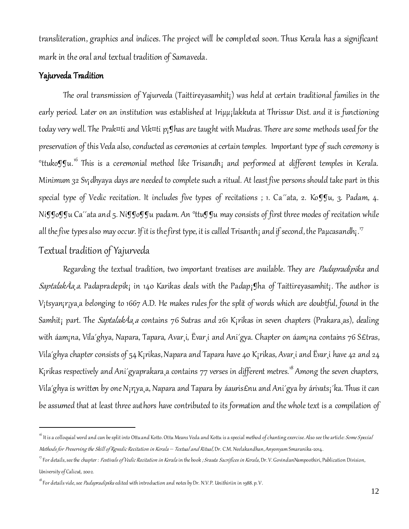transliteration, graphics and indices. The project will be completed soon. Thus Kerala has a significant mark in the oral and textual tradition of Samaveda.

### Yajurveda Tradition

The oral transmission of Yajurveda (Taittir¢yasamhit¡) was held at certain traditional families in the early period. Later on an institution was established at Iriµµ; lakkuta at Thrissur Dist. and it is functioning today very well. The Prak¤ti and Vik¤ti p¡¶has are taught with Mudras. There are some methods used for the preservation of this Veda also, conducted as ceremonies at certain temples. Important type of such ceremony is  $^{\circ}$ ttuko $\bf g$ gu.' $^{\circ}$  This is a ceremonial method like Trisandh $_1$  and performed at different temples in Kerala. Minimum 32 Sv¡dhyaya days are needed to complete such a ritual. At least five persons should take part in this special type of Vedic recitation. It includes five types of recitations ; 1. Ca<sup>"</sup>ata, 2. Ko $\mathbb{g}_{u}$ , 3. Padam, 4. Niggoggu Ca<sup>2</sup>ata and 5. Niggoggu padam. An <sup>o</sup>ttuggu may consists of first three modes of recitation while all the five types also may occur. If it is the first type, it is called Trisanth<sub>i</sub> and if second, the Paµcasandh<sub>i</sub>."

# Textual tradition of Yajurveda

l

Regarding the textual tradition, two important treatises are available. They are *Padapradipika* and SaptalakÀa, a. Padaprad¢pik; in 140 Karikas deals with the Padap; Iha of Taittir¢yasamhit; The author is V¡tsyan¡r¡ya¸a belonging to 1667 A.D. He makes rules for the split of words which are doubtful, found in the Samhit; part. The Saptalak $\lambda$ a, a contains 76 Sutras and 261 K;rikas in seven chapters (Prakara, as), dealing with áam¡na, Vila´ghya, Napara, Tapara, Avar¸i, Ëvar¸i and Ani´gya. Chapter on áam¡na contains 76 S£tras, Vila´ghya chapter consists of 54 K¡rikas, Napara and Tapara have 40 K¡rikas, Avar¸i and Ëvar¸i have 42 and 24 K<sub>i</sub>rikas respectively and Ani'gyaprakara, a contains 77 verses in different metres.<sup>18</sup> Among the seven chapters, Vila´ghya is written by one N¡r¡ya¸a, Napara and Tapara by áauris£nu and Ani´gya by árivats¡´ka. Thus it can be assumed that at least three authors have contributed to its formation and the whole text is a compilation of

<sup>&</sup>lt;sup>16</sup> It is a colloquial word and can be split into Ottu and Kotto. Ottu Means Veda and Kottu is a special method of chanting exercise. Also see the article: *Some S pecial* Methods for Preserving the Skill of Rgvedic Recitation in Kerala *–* Textual and Ritual, Dr. C.M. Neelakandhan, Anyonyam Smaranika-2014.

 $^{17}$ For details, see the chapter : *Festivals of Vedic Recitation in Kerala* in the book *; Srauta Sacrifices in Kerala*, Dr. V. GovindanNampoothiri, Publication Division, University of Calicut, 2002.

<sup>&</sup>lt;sup>18</sup> For details vide, see *Padapradipika* edited with introduction and notes by Dr. N.V.P. Unithiriin in 1988. p. V.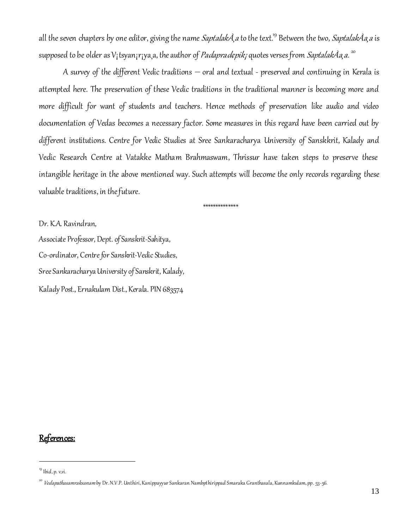all the seven chapters by one editor, giving the name Saptalak $\tilde{A}$  a to the text.<sup>19</sup> Between the two, Saptalak $\tilde{A}$ a a is supposed to be older as V<sub>I</sub>tsyan<sub>I</sub>r<sub>I</sub>ya<sub>,</sub>a, the author of *Padaprad¢pik<sub>i</sub> q*uotes verses from *SaptalakÀa,a*. <sup>20</sup>

A survey of the different Vedic traditions – oral and textual - preserved and continuing in Kerala is attempted here. The preservation of these Vedic traditions in the traditional manner is becoming more and more difficult for want of students and teachers. Hence methods of preservation like audio and video documentation of Vedas becomes a necessary factor. Some measures in this regard have been carried out by different institutions. Centre for Vedic Studies at Sree Sankaracharya University of Sanskkrit, Kalady and Vedic Research Centre at Vatakke Matham Brahmaswam, Thrissur have taken steps to preserve these intangible heritage in the above mentioned way. Such attempts will become the only records regarding these valuable traditions, in the future.

\*\*\*\*\*\*\*\*\*\*\*\*\*\*

Dr. K.A. Ravindran, Associate Professor, Dept. of Sanskrit-Sahitya, Co-ordinator, Centre for Sanskrit-Vedic Studies, Sree Sankaracharya University of Sanskrit, Kalady, Kalady Post., Ernakulam Dist., Kerala. PIN 683574

# References:

 $19$  Ibid, p. v,vi.

<sup>&</sup>lt;sup>20</sup> *Vedapathasamraksanam* by Dr. N.V.P. Unthiri, Kanippayyur Sankaran Nambpthirippad Smaraka Granthasala, Kunnamkulam, pp. 53-56.